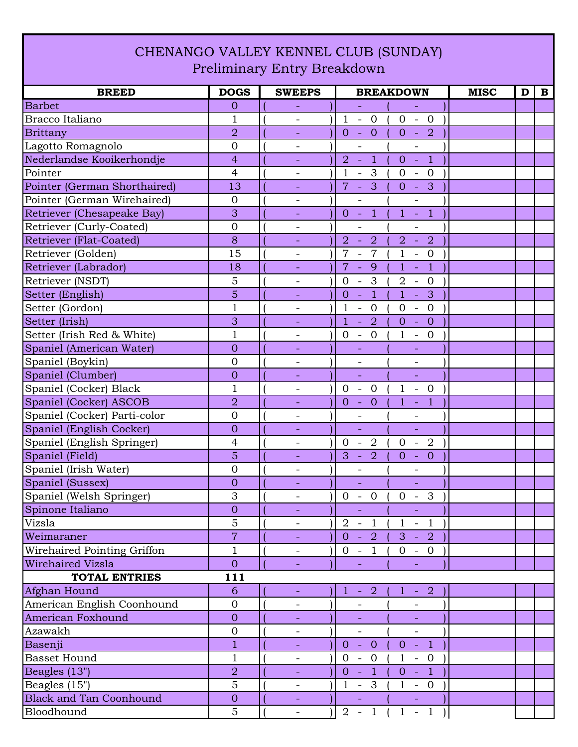## CHENANGO VALLEY KENNEL CLUB (SUNDAY) Preliminary Entry Breakdown

| <b>BREED</b>                   | <b>DOGS</b>    | <b>SWEEPS</b>            | <b>BREAKDOWN</b>                                                                                                           | <b>MISC</b><br>$\mathbf{B}$<br>D |
|--------------------------------|----------------|--------------------------|----------------------------------------------------------------------------------------------------------------------------|----------------------------------|
| <b>Barbet</b>                  | $\overline{0}$ |                          | $\equiv$<br>$\equiv$                                                                                                       |                                  |
| Bracco Italiano                | $\mathbf{1}$   |                          | $\mathbf{1}$<br>$\sim$<br>$\overline{0}$<br>$0 - 0$                                                                        |                                  |
| <b>Brittany</b>                | $\overline{2}$ | $\blacksquare$           | $\overline{0}$<br>$0 - 2$<br>$\overline{0}$<br>$\sim$ $-$                                                                  |                                  |
| Lagotto Romagnolo              | $\overline{0}$ |                          |                                                                                                                            |                                  |
| Nederlandse Kooikerhondje      | $\overline{4}$ |                          | $\overline{2}$<br>$\clubsuit$<br>$0 - 1$<br>$\equiv$                                                                       |                                  |
| Pointer                        | $\overline{4}$ | $\overline{\phantom{a}}$ | $\mathbf{1}$<br>3<br>$\overline{0}$<br>$\overline{0}$<br>$\blacksquare$<br>$\overline{\phantom{a}}$                        |                                  |
| Pointer (German Shorthaired)   | 13             | -                        | $\overline{7}$<br>3<br>3<br>$\overline{0}$<br>$\sim$<br>$\sim$                                                             |                                  |
| Pointer (German Wirehaired)    | $\overline{0}$ | $\overline{\phantom{a}}$ | $\qquad \qquad -$<br>$\qquad \qquad -$                                                                                     |                                  |
| Retriever (Chesapeake Bay)     | 3              | $\equiv$                 | $\clubsuit$<br>$1 - 1$<br>$0 -$                                                                                            |                                  |
| Retriever (Curly-Coated)       | $\overline{0}$ | $\overline{\phantom{a}}$ |                                                                                                                            |                                  |
| Retriever (Flat-Coated)        | 8              | $\overline{\phantom{a}}$ | $\overline{2}$<br>$\overline{2}$<br>$\overline{2}$<br>$\overline{2}$<br>$\sim$<br>$\mathbb{Z}$                             |                                  |
| Retriever (Golden)             | 15             |                          | 7<br>$\overline{7}$<br>$\mathbf{1}$<br>$\overline{0}$<br>$\bar{\phantom{a}}$<br>$\overline{\phantom{a}}$                   |                                  |
| Retriever (Labrador)           | 18             |                          | $\overline{7}$<br>9<br>$\mathbf{1}$<br>$\overline{1}$<br>$\blacksquare$<br>÷,                                              |                                  |
| Retriever (NSDT)               | 5              | $\overline{\phantom{a}}$ | $\mathbf{3}$<br>$\overline{0}$<br>$\overline{0}$<br>$\overline{2}$<br>$\overline{\phantom{a}}$<br>$\overline{\phantom{a}}$ |                                  |
| Setter (English)               | 5              |                          | $\mathbf{1}$<br>3<br>$\overline{1}$<br>$\overline{0}$<br>$\Box$<br>$\Box$                                                  |                                  |
| Setter (Gordon)                | $\mathbf 1$    | $\overline{\phantom{a}}$ | $\mathbf{1}$<br>$\overline{0}$<br>$\overline{0}$<br>$\mathbf{0}$<br>$\overline{\phantom{a}}$<br>$\overline{\phantom{a}}$   |                                  |
| Setter (Irish)                 | 3              |                          | $\overline{2}$<br>$\mathbf{1}$<br>$\overline{0}$<br>$\overline{0}$<br>$\Box$<br>L,                                         |                                  |
| Setter (Irish Red & White)     | $\mathbf{1}$   | $\overline{\phantom{a}}$ | $\mathbf{0}$<br>$\overline{0}$<br>$\mathbf 1$<br>$-0$<br>$\overline{\phantom{a}}$                                          |                                  |
| Spaniel (American Water)       | $\overline{0}$ | ÷                        | $\overline{\phantom{a}}$                                                                                                   |                                  |
| Spaniel (Boykin)               | $\overline{0}$ |                          |                                                                                                                            |                                  |
| Spaniel (Clumber)              | $\overline{0}$ | $\overline{\phantom{a}}$ | ÷,<br>÷,                                                                                                                   |                                  |
| Spaniel (Cocker) Black         | $\mathbf{1}$   | $\overline{\phantom{0}}$ | $\mathbf{0}$<br>$\mathbf{1}$<br>$\mathbf{0}$<br>$\overline{0}$<br>$\overline{\phantom{a}}$<br>$\overline{\phantom{a}}$     |                                  |
| Spaniel (Cocker) ASCOB         | $\overline{2}$ |                          | $\overline{0}$<br>$\overline{1}$<br>$\mathbf{1}$<br>$\overline{0}$<br>$\omega$<br>$\equiv$                                 |                                  |
| Spaniel (Cocker) Parti-color   | $\overline{0}$ | $\overline{\phantom{a}}$ | $\qquad \qquad -$<br>$\overline{\phantom{a}}$                                                                              |                                  |
| Spaniel (English Cocker)       | $\overline{0}$ |                          | $\Box$<br>L.                                                                                                               |                                  |
| Spaniel (English Springer)     | 4              | -                        | $0 -$<br>$\overline{2}$<br>$\overline{2}$<br>$\overline{0}$<br>$\mathcal{L}_{\mathcal{A}}$                                 |                                  |
| Spaniel (Field)                | 5              | ◆                        | 3<br>$\overline{2}$<br>$\overline{0}$<br>$\mathbf{0}$<br>$\sim$<br>$\equiv$                                                |                                  |
| Spaniel (Irish Water)          | $\overline{0}$ | -                        | $\overline{\phantom{a}}$                                                                                                   |                                  |
| Spaniel (Sussex)               | $\overline{0}$ |                          |                                                                                                                            |                                  |
| Spaniel (Welsh Springer)       | 3              | $\overline{\phantom{0}}$ | $0 -$<br>$\overline{0}$<br>$\overline{0}$<br>$\overline{\mathbf{3}}$<br>$\sim$                                             |                                  |
| Spinone Italiano               | $\theta$       |                          | $\equiv$<br>$\equiv$                                                                                                       |                                  |
| Vizsla                         | 5              | $\overline{\phantom{a}}$ | $2 - 1$<br>$\mathbf{1}$<br>$-1$                                                                                            |                                  |
| Weimaraner                     | $\overline{7}$ |                          | $0 - 2$<br>$3 - 2$                                                                                                         |                                  |
| Wirehaired Pointing Griffon    | $\mathbf{1}$   |                          | $0 - 1$ (<br>$0 - 0$                                                                                                       |                                  |
| Wirehaired Vizsla              | $\overline{0}$ | ÷,                       | $\equiv$<br>÷.                                                                                                             |                                  |
| <b>TOTAL ENTRIES</b>           | 111            |                          |                                                                                                                            |                                  |
| Afghan Hound                   | 6              | $\equiv$                 | $\mathbf{1}$<br>$-2$<br>$\mathbf{1}$<br>$-2$                                                                               |                                  |
| American English Coonhound     | $\overline{0}$ |                          |                                                                                                                            |                                  |
| American Foxhound              | $\theta$       |                          |                                                                                                                            |                                  |
| Azawakh                        | $\mathbf 0$    | $\overline{\phantom{a}}$ | $\overline{\phantom{a}}$<br>$\overline{\phantom{a}}$                                                                       |                                  |
| Basenji                        | $\overline{1}$ |                          | $-1$<br>$\sim$<br>$\overline{0}$<br>$\overline{O}$<br>$\overline{0}$                                                       |                                  |
| <b>Basset Hound</b>            | $\mathbf{1}$   |                          | $1 - 0$<br>$0 - 0$                                                                                                         |                                  |
| Beagles (13")                  | $\overline{2}$ |                          | $\vert 1 \vert$<br>$0 -$<br>$0 - 1$                                                                                        |                                  |
| Beagles (15")                  | 5              | $\overline{\phantom{a}}$ | $1 - 3$ (<br>$1 - 0$                                                                                                       |                                  |
| <b>Black and Tan Coonhound</b> | $\mathbf{O}$   | $\equiv$                 | $\equiv$<br>$\equiv$                                                                                                       |                                  |
| Bloodhound                     | 5              |                          | $2 - 1$ (<br>$1 - 1$<br>$\bigcup$                                                                                          |                                  |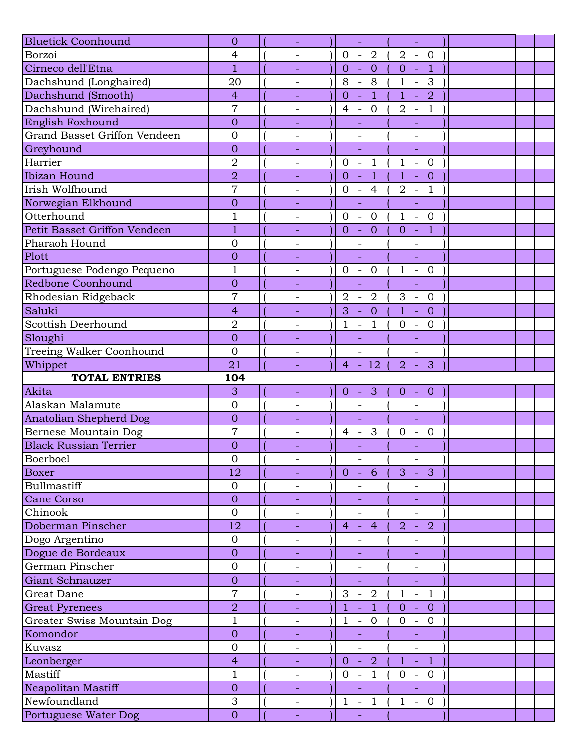| <b>Bluetick Coonhound</b>     | $\overline{0}$   |                          | $\Box$                                                          | $\mathbb{Z}^+$                                                |  |
|-------------------------------|------------------|--------------------------|-----------------------------------------------------------------|---------------------------------------------------------------|--|
| Borzoi                        | 4                |                          | $\overline{0}$<br>$-2$                                          | $\overline{2}$<br>$-0$                                        |  |
| Cirneco dell'Etna             | 1                | $\overline{\phantom{a}}$ | $\mathbf{0}$<br>$\overline{0}$<br>$\rightarrow$                 | $\mathbf{O}$<br>$-1$                                          |  |
| Dachshund (Longhaired)        | 20               |                          | 8<br>8<br>$\mathbb{L}$                                          | $\mathbf{1}$<br>3<br>$\mathbb{L}$                             |  |
| Dachshund (Smooth)            | $\overline{4}$   |                          | $\overline{1}$<br>$\overline{0}$<br>$\Box$                      | $1 - 2$                                                       |  |
| Dachshund (Wirehaired)        | $\overline{7}$   | $\overline{\phantom{a}}$ | $\overline{4}$<br>$\overline{0}$<br>$\mathbb{Z}$                | $\overline{2}$<br>$\overline{1}$<br>$\sim$                    |  |
| English Foxhound              | $\overline{0}$   |                          |                                                                 |                                                               |  |
| Grand Basset Griffon Vendeen  | $\overline{0}$   | $\overline{\phantom{a}}$ | $\frac{1}{2}$                                                   | $\blacksquare$                                                |  |
| Greyhound                     | $\overline{0}$   |                          | L,                                                              | L,                                                            |  |
| Harrier                       | $\overline{2}$   | $\overline{a}$           | $\overline{0}$<br>$\overline{1}$<br>$\overline{\phantom{a}}$    | $\mathbf{1}$<br>$-0$                                          |  |
| Ibizan Hound                  | $\overline{2}$   | $\equiv$                 | $\overline{1}$<br>$\overline{O}$<br>$\mathcal{L}$               | $\mathbf{1}$<br>$\overline{0}$<br>$\clubsuit$                 |  |
| Irish Wolfhound               | $\overline{7}$   | $\qquad \qquad -$        | $\overline{0}$<br>$\overline{4}$<br>$\mathcal{L}_{\mathcal{A}}$ | $\sqrt{2}$<br>$\mathbf{1}$<br>$\sim$                          |  |
| Norwegian Elkhound            | $\overline{0}$   |                          | $\Box$                                                          | $\blacksquare$                                                |  |
| Otterhound                    | $\mathbf 1$      | $\overline{\phantom{a}}$ | $\mathbf{0}$<br>$\overline{0}$<br>$\overline{\phantom{a}}$      | $\mathbf{1}$<br>$- 0$                                         |  |
| Petit Basset Griffon Vendeen  | $\mathbf{1}$     |                          | $-0$<br>$\overline{O}$                                          | $-1$<br>$\overline{0}$                                        |  |
| Pharaoh Hound                 | $\overline{0}$   | $\overline{\phantom{a}}$ | $\qquad \qquad -$                                               | $\overline{\phantom{a}}$                                      |  |
| Plott                         | $\overline{0}$   |                          | L,                                                              | $\equiv$                                                      |  |
| Portuguese Podengo Pequeno    | $\mathbf 1$      | $\overline{\phantom{0}}$ | $0 - 0$                                                         | $1 - 0$                                                       |  |
| Redbone Coonhound             | $\overline{0}$   | $\overline{\phantom{a}}$ | $\Box$                                                          | $\Box$                                                        |  |
| Rhodesian Ridgeback           | $\overline{7}$   | $\overline{\phantom{0}}$ | $\overline{2}$<br>$\overline{2}$<br>$\overline{\phantom{a}}$    | 3<br>$\overline{0}$<br>$\sim$                                 |  |
| Saluki                        | $\overline{4}$   |                          | 3<br>$\overline{0}$<br>$\mathbb{Z}^2$                           | $1 - 0$                                                       |  |
| Scottish Deerhound            | $\overline{2}$   |                          | $\mathbf{1}$<br>$\mathbf{1}$<br>$\bar{\phantom{a}}$             | $- 0$<br>$\boldsymbol{0}$                                     |  |
| Sloughi                       | $\overline{0}$   | $\equiv$                 | ÷.                                                              | ÷.                                                            |  |
| Treeing Walker Coonhound      | $\overline{0}$   | $\overline{\phantom{a}}$ | $\overline{\phantom{a}}$                                        | $\overline{\phantom{a}}$                                      |  |
| Whippet                       | 21               |                          | $4 - 12$                                                        | 3<br>$\overline{2}$<br>$\sim$                                 |  |
|                               |                  |                          |                                                                 |                                                               |  |
| <b>TOTAL ENTRIES</b>          | 104              |                          |                                                                 |                                                               |  |
| Akita                         | 3                | $\overline{\phantom{a}}$ | $\overline{0}$<br>$-3$                                          | $\theta$<br>$- 0$                                             |  |
| Alaskan Malamute              | $\overline{0}$   | $\overline{\phantom{a}}$ | $\overline{\phantom{a}}$                                        |                                                               |  |
| <b>Anatolian Shepherd Dog</b> | $\overline{0}$   | $\overline{\phantom{a}}$ | ÷,                                                              | ÷,                                                            |  |
| Bernese Mountain Dog          | $\overline{7}$   |                          | 3<br>$\overline{4}$<br>$\overline{\phantom{a}}$                 | $\overline{0}$<br>$\overline{0}$<br>$ \,$                     |  |
| <b>Black Russian Terrier</b>  | $\overline{0}$   |                          |                                                                 |                                                               |  |
| Boerboel                      | $\overline{0}$   | $\overline{\phantom{a}}$ | $\blacksquare$                                                  | $\overline{\phantom{a}}$                                      |  |
| <b>Boxer</b>                  | 12               |                          | 6<br>$\overline{0}$<br>$\sim$                                   | 3<br>$\overline{3}$                                           |  |
| Bullmastiff                   | $\boldsymbol{0}$ | $\qquad \qquad -$        |                                                                 |                                                               |  |
| Cane Corso                    | $\overline{0}$   |                          |                                                                 |                                                               |  |
| Chinook                       | $\overline{0}$   | $\overline{\phantom{a}}$ | $\overline{a}$                                                  | $\overline{\phantom{0}}$                                      |  |
| Doberman Pinscher             | 12               | $\equiv$                 | $\overline{4}$<br>$\overline{4}$<br>$\equiv$                    | $\overline{2}$<br>$\overline{2}$<br>$\equiv$                  |  |
| Dogo Argentino                | $\overline{0}$   | $\overline{\phantom{a}}$ |                                                                 |                                                               |  |
| Dogue de Bordeaux             | $\mathbf{0}$     |                          |                                                                 |                                                               |  |
| German Pinscher               | $\mathbf 0$      | $\overline{\phantom{a}}$ | $\overline{\phantom{a}}$                                        | $\qquad \qquad -$                                             |  |
| Giant Schnauzer               | $\overline{0}$   |                          |                                                                 | ÷,                                                            |  |
| Great Dane                    | $\overline{7}$   | $\qquad \qquad -$        | 3<br>$\overline{2}$<br>$\equiv$                                 | $\mathbf{1}$<br>$\overline{1}$<br>$\pm$                       |  |
| <b>Great Pyrenees</b>         | $\overline{2}$   |                          | $\mathbf{1}$<br>$\mathbf{1}$<br>$\Box$                          | $\overline{0}$<br>$\overline{0}$<br>$\sim$                    |  |
| Greater Swiss Mountain Dog    | $\mathbf{1}$     | $\overline{\phantom{a}}$ | $\mathbf{1}$<br>$-0$                                            | $- 0$<br>$\overline{0}$                                       |  |
| Komondor                      | $\theta$         | $\equiv$                 | $\overline{\phantom{a}}$                                        | $\equiv$                                                      |  |
| Kuvasz                        | $\overline{0}$   |                          |                                                                 |                                                               |  |
| Leonberger                    | $\overline{4}$   |                          | $-2$<br>$\overline{0}$                                          | $1 - 1$                                                       |  |
| Mastiff                       | 1                | $\overline{\phantom{a}}$ | $\overline{0}$<br>$\mathbf{1}$<br>$\overline{\phantom{a}}$      | $\mathbf{0}$<br>$\overline{0}$<br>$\left\vert -\right\rangle$ |  |
| Neapolitan Mastiff            | $\overline{0}$   | $\overline{\phantom{a}}$ | ÷,                                                              |                                                               |  |
| Newfoundland                  | 3                | $\overline{\phantom{a}}$ | $\mathbf{1}$<br>$\overline{1}$<br>$\sim$                        | $1 - 0$                                                       |  |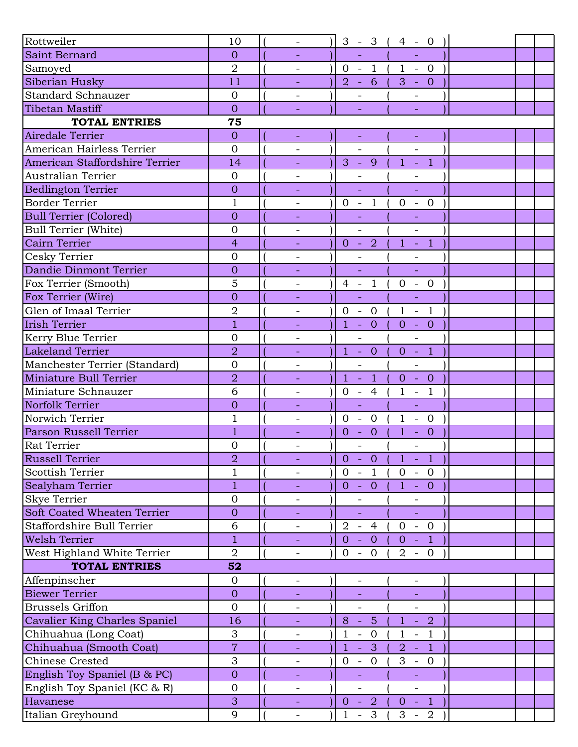| Rottweiler                         |                |                          |                              |                                            |                          |                            |  |  |
|------------------------------------|----------------|--------------------------|------------------------------|--------------------------------------------|--------------------------|----------------------------|--|--|
|                                    | 10             |                          |                              | $3 - 3$ (                                  | $4 - 0$                  |                            |  |  |
| Saint Bernard                      | $\overline{0}$ |                          |                              |                                            |                          |                            |  |  |
| Samoyed                            | $\overline{2}$ | $\overline{\phantom{a}}$ |                              | $0 - 1$<br>$2 - 6$                         | $(1 - 0)$                |                            |  |  |
| Siberian Husky                     | 11             |                          |                              |                                            | $3 - 0$                  |                            |  |  |
| <b>Standard Schnauzer</b>          | $\overline{0}$ |                          |                              |                                            |                          |                            |  |  |
| <b>Tibetan Mastiff</b>             | $\overline{0}$ |                          |                              |                                            |                          |                            |  |  |
| <b>TOTAL ENTRIES</b>               | 75             |                          |                              |                                            |                          |                            |  |  |
| Airedale Terrier                   | $\overline{0}$ | $\equiv$                 |                              | Η                                          |                          | $\pm$                      |  |  |
| American Hairless Terrier          | $\overline{0}$ |                          |                              |                                            |                          |                            |  |  |
| American Staffordshire Terrier     | 14             |                          |                              | $3 - 9$                                    | $1 - 1$                  |                            |  |  |
| <b>Australian Terrier</b>          | $\overline{0}$ |                          |                              | $\overline{\phantom{0}}$                   |                          |                            |  |  |
| <b>Bedlington Terrier</b>          | $\overline{0}$ |                          |                              |                                            |                          |                            |  |  |
| <b>Border Terrier</b>              | $\mathbf{1}$   | $\overline{\phantom{a}}$ | $0 -$                        | $\mathbf{1}$                               | $\mathbf{0}$<br>$\equiv$ | $\overline{0}$             |  |  |
| <b>Bull Terrier (Colored)</b>      | $\overline{0}$ |                          |                              |                                            |                          |                            |  |  |
| <b>Bull Terrier (White)</b>        | $\overline{0}$ | $\qquad \qquad -$        |                              | $\overline{a}$                             |                          | $\frac{1}{2}$              |  |  |
| Cairn Terrier                      | $\overline{4}$ | $\equiv$                 |                              | $0 - 2$                                    |                          | $1 - 1$                    |  |  |
| Cesky Terrier                      | $\overline{0}$ | $\overline{\phantom{a}}$ |                              |                                            |                          |                            |  |  |
| Dandie Dinmont Terrier             | $\overline{0}$ |                          |                              |                                            |                          | ÷,                         |  |  |
| Fox Terrier (Smooth)               | $\overline{5}$ | $\qquad \qquad -$        | $4 -$                        | $\overline{1}$                             | $\overline{0}$           | $- 0$                      |  |  |
| Fox Terrier (Wire)                 | $\overline{0}$ |                          |                              |                                            |                          |                            |  |  |
| Glen of Imaal Terrier              | $\overline{2}$ | $\overline{\phantom{a}}$ |                              | $0 - 0$                                    | $1 - 1$                  |                            |  |  |
| <b>Irish Terrier</b>               | $\overline{1}$ |                          | $1 - 0$                      |                                            | $0 - 0$                  |                            |  |  |
| Kerry Blue Terrier                 | $\overline{0}$ |                          |                              | $\qquad \qquad -$                          |                          | $\overline{\phantom{a}}$   |  |  |
| <b>Lakeland Terrier</b>            | $\overline{2}$ | $\equiv$                 |                              | $1 - 0$                                    | $\overline{0}$           | $-1$                       |  |  |
| Manchester Terrier (Standard)      | $\overline{0}$ | $\overline{\phantom{a}}$ |                              | $\overline{a}$                             |                          | $\overline{a}$             |  |  |
| Miniature Bull Terrier             | $\overline{2}$ | ÷,                       | $1 -$                        | Q                                          | $0 - 0$                  |                            |  |  |
| Miniature Schnauzer                | 6              |                          |                              | $0 - 4$                                    | $\mathbf{1}$             | $-1$                       |  |  |
| Norfolk Terrier                    | $\overline{0}$ |                          |                              | $\equiv$                                   |                          | ÷,                         |  |  |
| Norwich Terrier                    | $\mathbf 1$    | $\overline{\phantom{a}}$ | $\overline{0}$<br>$\sim$     | $\overline{0}$                             | $\mathbf{1}$             | $\overline{0}$<br>$\sim$   |  |  |
| Parson Russell Terrier             | $\overline{1}$ |                          | $\overline{0}$<br>$\sim$ $-$ | $\overline{0}$                             | $\mathbf{1}$<br>$\sim$   | $\overline{0}$             |  |  |
| Rat Terrier                        | $\mathbf{0}$   |                          |                              |                                            |                          | $\overline{\phantom{0}}$   |  |  |
| Russell Terrier                    | $\overline{2}$ | $\overline{\phantom{a}}$ |                              | $0 - 0$                                    |                          | $1 - 1$                    |  |  |
| <b>Scottish Terrier</b>            | $\mathbf{1}$   |                          |                              | $0 - 1$                                    |                          | $0 - 0$                    |  |  |
| Sealyham Terrier                   | $\mathbf{1}$   | $\blacksquare$           |                              | $0 - 0$                                    |                          | $1 - 0$                    |  |  |
| <b>Skye Terrier</b>                | $\mathbf{0}$   |                          |                              |                                            |                          |                            |  |  |
| <b>Soft Coated Wheaten Terrier</b> | $\overline{0}$ |                          |                              |                                            |                          | L.                         |  |  |
| Staffordshire Bull Terrier         | 6              |                          |                              | $2 - 4$                                    |                          | $-0$                       |  |  |
| <b>Welsh Terrier</b>               | $\mathbf{1}$   | $\overline{\phantom{a}}$ | $0 -$                        | $\overline{0}$                             | $\overline{0}$           | $0 - 1$                    |  |  |
|                                    | $\overline{2}$ |                          |                              |                                            |                          |                            |  |  |
| West Highland White Terrier        |                |                          | $\overline{0}$<br>$\sim$ $-$ | $\overline{0}$                             |                          | $2 - 0$                    |  |  |
| <b>TOTAL ENTRIES</b>               | 52             |                          |                              |                                            |                          |                            |  |  |
| Affenpinscher                      | $\mathbf 0$    | $\overline{\phantom{a}}$ |                              | $\qquad \qquad -$                          |                          |                            |  |  |
| <b>Biewer Terrier</b>              | $\mathbf{O}$   | $\blacksquare$           |                              | $\equiv$                                   |                          | $\equiv$                   |  |  |
| <b>Brussels Griffon</b>            | $\overline{0}$ | $\overline{\phantom{a}}$ |                              |                                            |                          | $\overline{a}$             |  |  |
| Cavalier King Charles Spaniel      | 16             |                          | 8                            | $-5$                                       |                          | $1 - 2$                    |  |  |
| Chihuahua (Long Coat)              | 3              | $\overline{\phantom{a}}$ | $\mathbf{1}$                 | $\overline{0}$<br>$\overline{\phantom{a}}$ | $\mathbf 1$              | $-1$                       |  |  |
| Chihuahua (Smooth Coat)            | $\overline{7}$ | $\overline{\phantom{a}}$ | $\mathbf{1}$<br>÷,           | 3 <sup>°</sup>                             | $\overline{2}$           | $-1$                       |  |  |
| <b>Chinese Crested</b>             | 3              | $\qquad \qquad -$        | $\overline{0}$<br>$\equiv$   | $\overline{0}$                             | 3                        | $\overline{0}$<br>$\equiv$ |  |  |
| English Toy Spaniel (B & PC)       | $\overline{0}$ | $\overline{\phantom{a}}$ |                              |                                            |                          |                            |  |  |
| English Toy Spaniel (KC & R)       | $\mathbf{0}$   | $\overline{\phantom{a}}$ |                              |                                            |                          | $\overline{\phantom{a}}$   |  |  |
| Havanese                           | 3              | $\sim$                   | $0 -$                        | $\vert 2 \vert$                            |                          | $0 - 1$                    |  |  |
| Italian Greyhound                  | 9              | $\qquad \qquad -$        | $\mathbf{1}$                 | $\mathfrak{Z}$<br>$\overline{\phantom{a}}$ | $3 -$                    | $\overline{2}$             |  |  |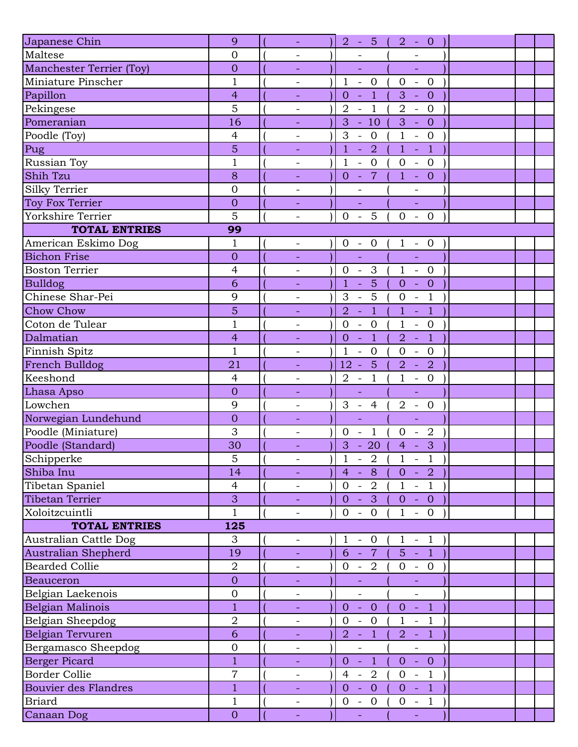| Japanese Chin                   | 9                | $\omega$                 | $2 - 5 ($<br>$2 - 0$                                                                                                       |  |
|---------------------------------|------------------|--------------------------|----------------------------------------------------------------------------------------------------------------------------|--|
| Maltese                         | $\overline{0}$   | $\qquad \qquad -$        |                                                                                                                            |  |
| <b>Manchester Terrier (Toy)</b> | $\overline{0}$   | $\overline{\phantom{a}}$ | ÷,<br>÷,                                                                                                                   |  |
| Miniature Pinscher              | $\mathbf{1}$     | $\overline{\phantom{a}}$ | $\mathbf{1}$<br>$\overline{0}$<br>$\mathbf{0}$<br>$\overline{0}$<br>$\mathbb{L}$<br>$\mathbb{L}$                           |  |
| Papillon                        | $\overline{4}$   |                          | $\overline{1}$<br>$\mathbb{L}$<br>3<br>$-0$<br>$\overline{0}$                                                              |  |
| Pekingese                       | 5                | $\overline{\phantom{a}}$ | $\overline{1}$<br>$\overline{2}$<br>$2 - 0$<br>$\sim$                                                                      |  |
| Pomeranian                      | 16               |                          | $-10$<br>$\overline{3}$<br>3<br>$-0$                                                                                       |  |
| Poodle (Toy)                    | $\overline{4}$   | $\overline{\phantom{0}}$ | $\mathbf{1}$<br>3<br>$-0$<br>$- 0$                                                                                         |  |
| Pug                             | 5                |                          | $\mathbf{1}$<br>$\mathbf{1}$<br>$-1$<br>$\overline{2}$<br>$\omega$                                                         |  |
| Russian Toy                     | $\mathbf{1}$     | $\overline{\phantom{a}}$ | $\mathbf{1}$<br>$\overline{0}$<br>$\overline{0}$<br>$-0$<br>$\mathbb{L}$                                                   |  |
| Shih Tzu                        | 8                | $\equiv$                 | $-7$<br>$\overline{0}$<br>$1 - 0$                                                                                          |  |
| Silky Terrier                   | $\overline{0}$   |                          |                                                                                                                            |  |
| Toy Fox Terrier                 | $\overline{0}$   |                          | ÷,<br>÷,                                                                                                                   |  |
| Yorkshire Terrier               | 5                | $\overline{\phantom{a}}$ | $-5$<br>$\overline{0}$<br>$\overline{0}$<br>$-0$                                                                           |  |
| <b>TOTAL ENTRIES</b>            | 99               |                          |                                                                                                                            |  |
| American Eskimo Dog             | $\mathbf{1}$     | $\overline{\phantom{a}}$ | $0 - 0$<br>$1 - 0$                                                                                                         |  |
| <b>Bichon Frise</b>             | $\overline{0}$   |                          | ÷,<br>$\mathbb{L}$                                                                                                         |  |
| <b>Boston Terrier</b>           | $\overline{4}$   | $\overline{\phantom{0}}$ | $0 - 3$<br>$1 - 0$                                                                                                         |  |
| <b>Bulldog</b>                  | 6                | -                        | $\overline{5}$<br>$\mathbf{1}$<br>$- 0$<br>$\mathbb{Z}$<br>$\overline{0}$                                                  |  |
| Chinese Shar-Pei                | 9                |                          | 5<br>3<br>$\mathbf 0$<br>$\mathbb{L}$<br>$\overline{1}$<br>$\mathbb{L}$                                                    |  |
| <b>Chow Chow</b>                | $\overline{5}$   |                          | $\mathbf{1}$<br>$\mathbf{1}$<br>$\overline{1}$<br>$\overline{2}$<br>$\blacksquare$<br>$\sim$                               |  |
| Coton de Tulear                 | $\mathbf{1}$     |                          | $\overline{0}$<br>$\mathbf{1}$<br>$- 0$<br>$\mathbf{0}$<br>$\sim$                                                          |  |
| Dalmatian                       | $\overline{4}$   | $\equiv$                 | $\overline{1}$<br>$\overline{-1}$<br>$\overline{0}$<br>$\mathcal{L}$<br>$\overline{2}$                                     |  |
| Finnish Spitz                   | $\mathbf{1}$     | $\overline{\phantom{a}}$ | $\mathbf{1}$<br>$\overline{0}$<br>$\mathbf{0}$<br>$\overline{0}$<br>$\qquad \qquad -$<br>$\equiv$                          |  |
| French Bulldog                  | 21               | $\overline{\phantom{a}}$ | 5<br>$\overline{2}$<br>$12 -$<br>$\overline{2}$<br>$\mathbb{Z}$                                                            |  |
| Keeshond                        | $\overline{4}$   | $\qquad \qquad -$        | $\overline{1}$<br>$\mathbf{1}$<br>$- 0$<br>$\overline{2}$<br>$\sim$                                                        |  |
| Lhasa Apso                      | $\overline{0}$   | $\equiv$                 | $\Box$<br>$\Box$                                                                                                           |  |
| Lowchen                         | 9                | $\overline{\phantom{a}}$ | $\overline{2}$<br>$3 - 4$<br>$- 0$                                                                                         |  |
| Norwegian Lundehund             | $\overline{0}$   | -                        | ÷,<br>÷                                                                                                                    |  |
| Poodle (Miniature)              | 3                | $\overline{\phantom{a}}$ | $\overline{1}$<br>$\overline{2}$<br>$\overline{0}$<br>$\mathbf{0}$<br>$\overline{\phantom{a}}$<br>$\overline{\phantom{a}}$ |  |
| Poodle (Standard)               | 30               | $\overline{\phantom{a}}$ | 3<br>3<br>$-20$<br>$\overline{4}$<br>$\sim$                                                                                |  |
| Schipperke                      | 5                | $\overline{\phantom{a}}$ | $\mathbf 1$<br>$\mathbf{1}$<br>$-1$<br>$-2$                                                                                |  |
| Shiba Inu                       | 14               | $\equiv$                 | $-2$ )<br>$4 -$<br>8<br>$\overline{0}$                                                                                     |  |
| Tibetan Spaniel                 | $\overline{4}$   | $\overline{\phantom{a}}$ | $0 - 2$<br>$1 - 1$                                                                                                         |  |
| Tibetan Terrier                 | 3                | $\equiv$                 | $0 - 3$<br>$0 - 0$                                                                                                         |  |
| Xoloitzcuintli                  | $\mathbf{1}$     | $\overline{\phantom{a}}$ | $0 - 0$<br>$\mathbf{1}$<br>$-0$                                                                                            |  |
| <b>TOTAL ENTRIES</b>            | 125              |                          |                                                                                                                            |  |
| Australian Cattle Dog           | 3                | $\overline{\phantom{a}}$ | $1 - 0$<br>$\mathbf{1}$<br>$-1$                                                                                            |  |
| Australian Shepherd             | 19               | $\equiv$                 | $6 -$<br>$7\overline{ }$<br>$5 - 1$                                                                                        |  |
| <b>Bearded Collie</b>           | $\overline{2}$   | $\overline{\phantom{a}}$ | $0 - 2$<br>$0 - 0$                                                                                                         |  |
| <b>Beauceron</b>                | $\overline{0}$   |                          |                                                                                                                            |  |
| Belgian Laekenois               | $\boldsymbol{0}$ | $\qquad \qquad -$        | $\overline{\phantom{0}}$<br>$\overline{\phantom{0}}$                                                                       |  |
| Belgian Malinois                | $\mathbf{1}$     | $\overline{\phantom{a}}$ | $\overline{0}$<br>$\overline{0}$<br>$\sim$<br>$\overline{0}$<br>$-1$                                                       |  |
| Belgian Sheepdog                | $\overline{2}$   | $\overline{\phantom{a}}$ | $\overline{0}$<br>$\mathbf{1}$<br>$-0$<br>$\mathbb{L}$<br>$\overline{1}$                                                   |  |
| Belgian Tervuren                | 6                | $\equiv$                 | $2 - 1$<br>$2 - 1$                                                                                                         |  |
| Bergamasco Sheepdog             | $\mathbf 0$      | $\qquad \qquad -$        | $\frac{1}{\sqrt{2}}$<br>$\equiv$                                                                                           |  |
| <b>Berger Picard</b>            | $\overline{1}$   |                          | $0 -$<br>Q<br>$0 - 0$                                                                                                      |  |
| <b>Border Collie</b>            | $\overline{7}$   | $\overline{\phantom{a}}$ | $4 - 2$<br>$0 - 1$                                                                                                         |  |
| <b>Bouvier des Flandres</b>     | $\mathbf{1}$     |                          | $\clubsuit$<br>$\overline{0}$<br>$\overline{0}$<br>$0 -$<br>$\sim$ $-$                                                     |  |
| <b>Briard</b>                   | $\mathbf{1}$     | $\overline{\phantom{a}}$ | $-1$<br>$0 - 0$<br>$\overline{0}$                                                                                          |  |
| Canaan Dog                      | $\overline{O}$   | $\equiv$                 | $\Box$<br>$\Box$                                                                                                           |  |